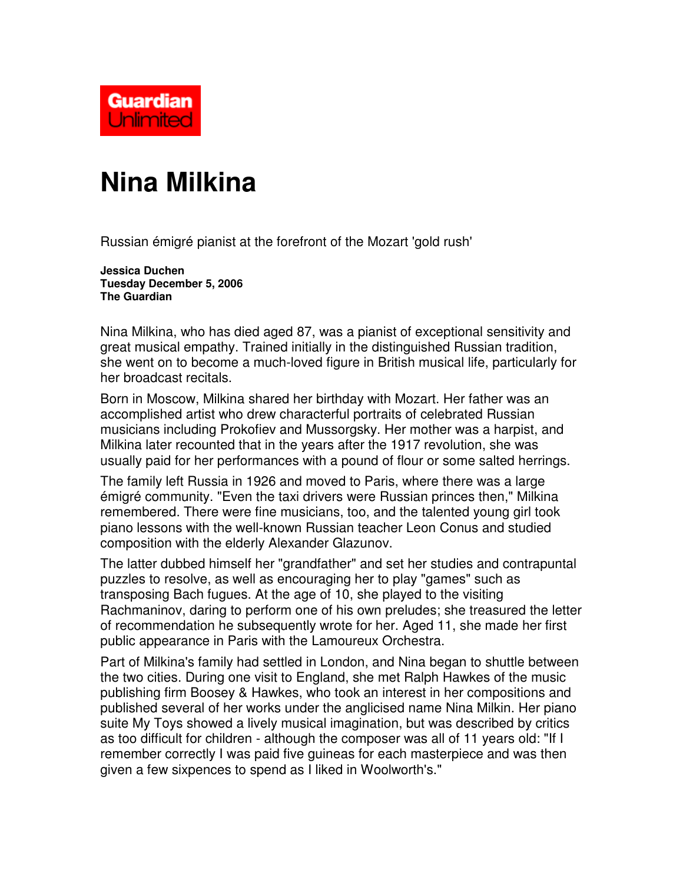

## **Nina Milkina**

Russian émigré pianist at the forefront of the Mozart 'gold rush'

**Jessica Duchen Tuesday December 5, 2006 The Guardian**

Nina Milkina, who has died aged 87, was a pianist of exceptional sensitivity and great musical empathy. Trained initially in the distinguished Russian tradition, she went on to become a much-loved figure in British musical life, particularly for her broadcast recitals.

Born in Moscow, Milkina shared her birthday with Mozart. Her father was an accomplished artist who drew characterful portraits of celebrated Russian musicians including Prokofiev and Mussorgsky. Her mother was a harpist, and Milkina later recounted that in the years after the 1917 revolution, she was usually paid for her performances with a pound of flour or some salted herrings.

The family left Russia in 1926 and moved to Paris, where there was a large émigré community. "Even the taxi drivers were Russian princes then," Milkina remembered. There were fine musicians, too, and the talented young girl took piano lessons with the well-known Russian teacher Leon Conus and studied composition with the elderly Alexander Glazunov.

The latter dubbed himself her "grandfather" and set her studies and contrapuntal puzzles to resolve, as well as encouraging her to play "games" such as transposing Bach fugues. At the age of 10, she played to the visiting Rachmaninov, daring to perform one of his own preludes; she treasured the letter of recommendation he subsequently wrote for her. Aged 11, she made her first public appearance in Paris with the Lamoureux Orchestra.

Part of Milkina's family had settled in London, and Nina began to shuttle between the two cities. During one visit to England, she met Ralph Hawkes of the music publishing firm Boosey & Hawkes, who took an interest in her compositions and published several of her works under the anglicised name Nina Milkin. Her piano suite My Toys showed a lively musical imagination, but was described by critics as too difficult for children - although the composer was all of 11 years old: "If I remember correctly I was paid five guineas for each masterpiece and was then given a few sixpences to spend as I liked in Woolworth's."